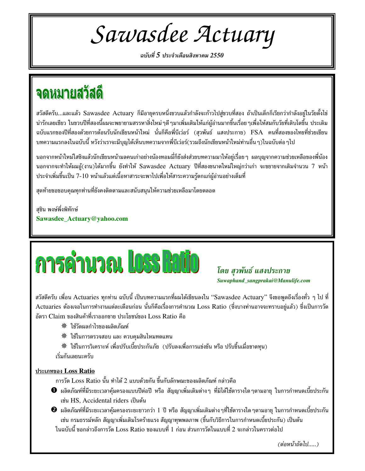Sawasdee Actuary

ฉบับที่  $5\,$  ประจำเดือนสิงหาคม  $2550\,$ 

### จดหมายสวัสดี

ีสวัสดีครับ…และแล้ว Sawasdee Actuary ก็มีอายุครบหนึ่งขวบแล้วกำลังจะก้าวไปสู่ขวบที่สอง ถ้าเป็นเด็กก็เรียกว่ากำลังอยู่ในวัยตั้งไข่ น่ารักเลยเชียว ในขวบปีที่สองนี้ผมจะพยายามสรรหาสิ่งใหม่ ๆดี ๆมาเพิ่มเติมให้แก่ผู้อ่านมากขึ้นเรื่อย ๆเพื่อให้สมกับวัยที่เติบโตขึ้น ประเดิม ฉบับแรกของปีที่สองด้วยการต้อนรับนักเขียนหน้าใหม่ นั่นก็คือพี่บีเว่อร์ (สุวพันธ์ แสงประกาย) FSA คนที่สองของไทยที่ช่วยเขียน ี บทความแรกลงในฉบับนี้ หวังว่าเราจะมีบุญได้เห็นบทความจากพี่บีเว่อร์(รวมถึงนักเขียนหน้าใหม่ท่านอื่น ๆ)ในฉบับต่อ ๆไป

นอกจากหน้าใหม่ใสซิงแล้วนักเขียนหน้ามลคนเก่าอย่างน้องทอมมี่ก็ยังส่งส่วยบทความมาให้อยู่เรื่อย ๆ ผลบุญจากความช่วยเหลือของพี่น้อง นอกจากจะทำให้ผมอู้(งาน)ได้มากขึ้น ยังทำให้ Sawasdee Actuary ปีที่สองขนาดใหม่ใหญ่กว่าเก่า จะขยายจากเดิมจำนวน 7 หน้า ี ประจำเพิ่มขึ้นเป็น 7-10 หน้าแล้วแต่เนื้อหาสาระจะพาไปเพื่อให้สาระความรู้ตกแก่ผู้อ่านอย่างเต็มที่

สุดท้ายขอขอบคุณทุกท่านที่ยังคงติดตามและสนับสนุนให้ความช่วยเหลือมาโดยตลอด

สุชิน พงษ์พึ่งพิทักษ์ Sawasdee\_Actuary@yahoo.com



โดย สุวพันธ์ แสงประกาย Suwaphand\_sangprakai@Manulife.com

สวัสดีครับ เพื่อน Actuaries ทุกท่าน ฉบับนี้ เป็นบทความแรกที่ผมได้เขียนลงใน "Sawasdee Actuary" จึงขอพูดถึงเรื่องทั่ว ๆ ไป ที่ Actuaries ต้องเจอในการทำงานแต่ละเดือนก่อน นั่นก็คือเรื่องการคำนวณ Loss Ratio (ซึ่งบางท่านอาจจะทราบอยู่แล้ว) ซึ่งเป็นการวัด คัตรา Claim ของสินค้าที่เราออกขาย ประโยชน์ของ Loss Ratio คือ

- **่ ซึ**่ ใช้วัดผลกำไรของผลิตภัณฑ์
- \* ใช้ในการตรวจสอบ และ ควบคุมสินไหมทดแทน
- ※ ใช้ในการวิเคราะห์ เพื่อปรับเบี้ยประกันภัย (ปรับลงเพื่อการแข่งขัน หรือ ปรับขึ้นเมื่อขาดทุน) เริ่มกับเลยบะครับ

#### ประเภทของ Loss Ratio

การวัด Loss Ratio นั้น ทำได้ 2 แบบด้วยกัน ขึ้นกับลักษณะของผลิตภัณฑ์ กล่าวคือ

- ❶ ผลิตภัณฑ์ที่มีระยะเวลาค้มครองแบบปีต่อปี หรือ สัญญาเพิ่มเติมต่างๆ ที่มิได้ใช้ตารางใดๆตามอายุ ในการกำหนดเบี้ยประกัน เช่น HS, Accidental riders เป็นต้น
- ❷ ผลิตภัณฑ์ที่มีระยะเวลาคุ้มครองระยะยาวกว่า 1 ปี หรือ สัญญาเพิ่มเติมต่างๆที่ใช้ตารางใดๆตามอายุ ในการกำหนดเบี้ยประกัน เช่น กรมธรรม์หลัก สัญญาเพิ่มเติมโรคร้ายแรง สัญญาทุพพลภาพ (ขึ้นกับวิธีการในการกำหนดเบี้ยประกัน) เป็นต้น ในฉบับนี้ ขอกล่าวถึงการวัด Loss Ratio ของแบบที่ 1 ก่อน ส่วนการวัดในแบบที่ 2 จะกล่าวในคราวต่อไป

(ต่อหน้าถัดไป.....)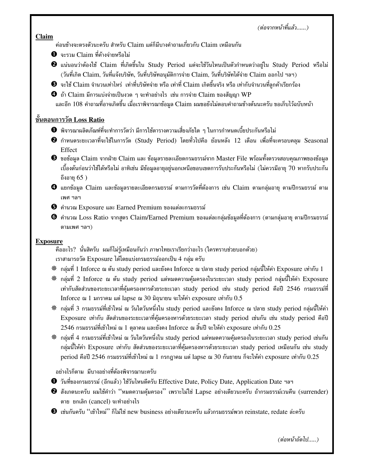(ต่อจากหน้าที่แล้ว......)

#### **Claim**

ค่อนข้างจะตรงตัวนะครับ สำหรับ Claim แต่ก็มีบางคำถามเกี่ยวกับ Claim เหมือนกัน

- $\bullet$  จะรวม Claim ที่ค้างจ่ายหรือไม่
- 2 แน่นอนว่าต้องใช้ Claim ที่เกิดขึ้นใน Study Period แต่จะใช้วันไหนเป็นตัวกำหนดว่าอยู่ใน Study Period หรือไม่ (วันที่เกิด Claim, วันที่แจ้งบริษัท, วันที่บริษัทอนุมัติการจ่าย Claim, วันที่บริษัทได้จ่าย Claim ออกไป ฯลฯ)
- $\, \Theta \,$  จะใช้ Claim จำนวนเท่าไหร่ เท่าที่บริษัทจ่าย หรือ เท่าที่ Claim เกิดขึ้นจริง หรือ เท่ากับจำนวนที่ลูกค้าเรียกร้อง

 $\bm{\Theta}$  ถ้า Claim มีการแบ่งจ่ายเป็นงวด ๆ จะทำอย่างไร เช่น การจ่าย Claim ของสัญญา WP

และอีก 108 คำถามที่อาจเกิดขึ้น เมื่อเราพิจารณาข้อมูล Claim ผมขอยังไม่ตอบคำถามข้างต้นนะครับ ขอเก็บไว้ฉบับหน้า

#### ขั้นตอนการวัด Loss Ratio

- ❶ พิจารณาผลิตภัณฑ์ที่จะทำการวัดว่า มีการใช้ตารางความเสี่ยงภัยใด ๆ ในการกำหนดเบี้ยประกันหรือไม่
- $\bullet$  กำหนดระยะเวลาที่จะใช้ในการวัด (Study Period) โดยทั่วไปคือ ย้อนหลัง 12 เดือน เพื่อที่จะครอบคลุม Seasonal Effect
- $\bullet$  ขอข้อมูล Claim จากฝ่าย Claim และ ข้อมูลรายละเอียดกรมธรรม์จาก Master File พร้อมทั้งตรวจสอบคุณภาพของข้อมูล เบื้องต้นก่อนว่าใช้ได้หรือไม่ อาทิเช่น มีข้อมูลอายุอยู่นอกเหนือขอบเขตการรับประกันหรือไม่ (ไม่ควรมีอายุ 70 หากรับประกัน ถึงอายุ  $65$ )
- $\bm{\Theta}$  แยกข้อมูล Claim และข้อมูลรายละเอียดกรมธรรม์ ตามการวัดที่ต้องการ เช่น Claim ตามกลุ่มอายุ ตามปีกรมธรรม์ ตาม เพศ ฯลฯ
- 6 คำนวณ Exposure และ Earned Premium ของแต่ละกรมธรรม์
- $\bullet$  คำนวณ Loss Ratio จากสูตร Claim/Earned Premium ของแต่ละกลุ่มข้อมูลที่ต้องการ (ตามกลุ่มอายุ ตามปีกรมธรรม์ ตามเพศ ฯลฯ)

#### **Exposure**

้คืออะไร? นั่นสิครับ ผมก็ไม่รู้เหมือนกันว่า ภาษาไทยเราเรียกว่าอะไร (ใครทราบช่วยบอกด้วย) เราสามารถวัด Exposure ได้โดยแบ่งกรมธรรม์ออกเป็น 4 กลุ่ม ครับ

- ※ กลุ่มที่ 1 Inforce ณ ต้น study period และยังคง Inforce ณ ปลาย study period กลุ่มนี้ให้ค่า Exposure เท่ากับ 1
- ※ กลุ่มที่ 2 Inforce ณ ต้น study period แต่หมดความคุ้มครองในระยะเวลา study period กลุ่มนี้ให้ค่า Exposure เท่ากับสัดส่วนของระยะเวลาที่คุ้มครองหารด้วยระยะเวลา study period เช่น study period คือปี 2546 กรมธรรม์ที่ Inforce ณ 1 มกราคม แต่ lapse ณ 30 มิถุนายน จะให้ค่า exposure เท่ากับ  $0.5$
- ☀ กลุ่มที่ 3 กรมธรรม์ที่เข้าใหม่ ณ วันใดวันหนึ่งใน study period และยังคง Inforce ณ ปลาย study period กลุ่มนี้ให้ค่า Exposure เท่ากับ สัดส่วนของระยะเวลาที่คุ้มครองหารด้วยระยะเวลา study period เช่นกัน เช่น study period คือปี  $2546$  กรมธรรม์ที่เข้าใหม่ ณ 1 ตุลาคม และยังคง Inforce ณ สิ้นปี จะให้ค่า exposure เท่ากับ  $0.25$
- ☀ กลุ่มที่ 4 กรมธรรม์ที่เข้าใหม่ ณ วันใดวันหนึ่งใน study period แต่หมดความคุ้มครองในระยะเวลา study period เช่นกัน กลุ่มนี้ให้ค่า Exposure เท่ากับ สัดส่วนของระยะเวลาที่คุ้มครองหารด้วยระยะเวลา study period เหมือนกัน เช่น study period คือปี 2546 กรมธรรม์ที่เข้าใหม่ ณ 1 กรกฎาคม แต่ lapse ณ 30 กันยายน ก็จะให้ค่า exposure เท่ากับ  $0.25$

้อย่างไรก็ตาม มีบางอย่างที่ต้องพิจารณานะครับ

- 0 วันที่ของกรมธรรม์ (อีกแล้ว) ใช้วันไหนดีครับ Effective Date, Policy Date, Application Date ฯลฯ
- $\bullet$  สังเกตนะครับ ผมใช้คำว่า "หมดความคุ้มครอง" เพราะไม่ใช่ Lapse อย่างเดียวนะครับ ถ้ากรมธรรม์เวนคืน (surrender) ตาย ยกเลิก (cancel) จะทำอย่างไร
- $\bm{\Theta}$  เช่นกันครับ "เข้าใหม่" ก็ไม่ใช่ new business อย่างเดียวนะครับ แล้วกรมธรรม์พวก reinstate, redate ล่ะครับ

(ต่อหน้าถัดไป.....)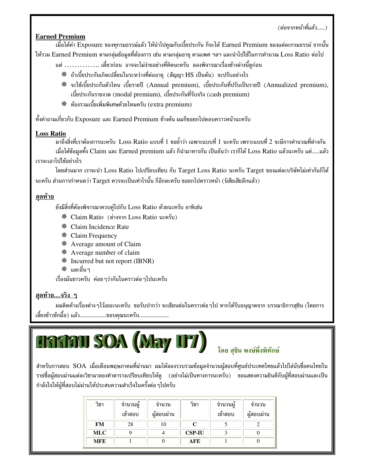(ต่อจากหน้าที่แล้ว.....)

#### **Earned Premium**

เมื่อได้ค่า Exposure ของทุกรมธรรม์แล้ว ให้นำไปคูณกับเบี้ยประกัน ก็จะได้ Earned Premium ของแต่ละกรมธรรม์ จากนั้น ให้รวม Earned Premium ตามกลุ่มข้อมูลที่ต้องการ เช่น ตามกลุ่มอายุ ตามเพศ ฯลฯ และนำไปใช้ในการคำนวณ Loss Ratio ต่อไป

แต่ .............. เดี๋ยวก่อน อาจจะไม่ง่ายอย่างที่คิดนะครับ ลองพิจารณาเรื่องข้างล่างนี้ดูก่อน

- \* ถ้าเบี้ยประกันเกิดเปลี่ยนในระหว่างที่ต่ออายุ (สัญญา HS เป็นต้น) จะปรับอย่างไร
- \* จะใช้เบี้ยประกันตัวไหน เบี้ยรายปี (Annual premium), เบี้ยประกันที่ปรับเป็นรายปี (Annualized premium), เบี้ยประกันรายงวด (modal premium), เบี้ยประกันที่รับจริง (cash premium)
- \* ต้องรวมเบี้ยเพิ่มพิเศษด้วยไหมครับ (extra premium)

ทั้งคำถามเกี่ยวกับ Exposure และ Earned Premium ข้างต้น ผมก็ขอยกไปตอบคราวหน้านะครับ

#### **Loss Ratio**

มาถึงสิ่งที่เราต้องการนะครับ Loss Ratio แบบที่ 1 ขอย้ำว่า เฉพาะแบบที่ 1 นะครับ เพราะแบบที่ 2 จะมีการคำนวณที่ต่างกัน

เมื่อได้ข้อมูลทั้ง Claim และ Earned premium แล้ว ก็นำมาหารกัน เป็นอันว่า เราก็ได้ Loss Ratio แล้วนะครับ แต่.....แล้ว เราจะเอาไปใช้อย่างไร

โดยส่วนมาก เราจะนำ Loss Ratio ไปเปรียบเทียบ กับ Target Loss Ratio นะครับ Target ของแต่ละบริษัทไม่เท่ากันก็ได้ นะครับ ส่วนการกำหนดว่า Target ควรจะเป็นเท่าไรนั้น ก็อีกละครับ ขอยกไปคราวหน้า (นิสัยเสียอีกแล้ว)

#### <u>สดท้าย</u>

ยังมีสิ่งที่ต้องพิจารณาควบคู่ไปกับ Loss Ratio ด้วยนะครับ อาทิเช่น

- ※ Claim Ratio (ต่างจาก Loss Ratio นะครับ)
- **\*** Claim Incidence Rate
- ※ Claim Frequency
- \* Average amount of Claim
- \* Average number of claim
- **※** Incurred but not report (IBNR)
- **※ และอื่น**ๆ

เรื่องมันยาวครับ ค่อย ๆว่ากันในคราวต่อ ๆไปนะครับ

#### <u>สุดท้าย....จริง ๆ</u>

้ผมติดค้างเรื่องต่าง ๆไว้เยอะนะครับ ขอรับปากว่า จะเขียนต่อในคราวต่อ ๆไป หากได้รับอนุญาตจาก บรรณาธิการสุชิน (โดยการ เลี้ยงข้าวซักมื้อ) แล้ว.................ขอบคุณนะครับ...................

## **ROU SOA (May 07)**

#### โดย สชิน พงษ์พึ่งพิทักษ์

สำหรับการสอบ SOA เมื่อเดือนพฤษภาคมที่ผ่านมา ผมได้ลองรวบรวมข้อมูลจำนวนผู้สอบที่ศูนย์ประเทศไทยแล้วไปไล่นับชื่อคนไทยใน รายชื่อผู้สอบผ่านแต่ละวิชามาลองทำตารางเปรียบเทียบให้ดู (อย่างไม่เป็นทางการนะครับ) ขอแสดงความยินดีกับผู้ที่สอบผ่านและเป็น กำลังใจให้ผู้ที่สอบไม่ผ่านให้ประสบความสำเร็จในครั้งต่อ ๆไปครับ

| วิชา       | จำนวนผู้<br>เข้าสอบ | จำนวน<br>ผ้สอบผ่าน | วิชา                    | ึ่งำนวนผู้<br>เข้าสอบ | จำนวน<br>ผ้สอบผ่าน |
|------------|---------------------|--------------------|-------------------------|-----------------------|--------------------|
| FM         | 28                  | 10                 | $\mathsf{C}\phantom{C}$ |                       |                    |
| <b>MLC</b> |                     |                    | <b>CSP-IU</b>           |                       |                    |
| <b>MFE</b> |                     |                    | <b>AFE</b>              |                       |                    |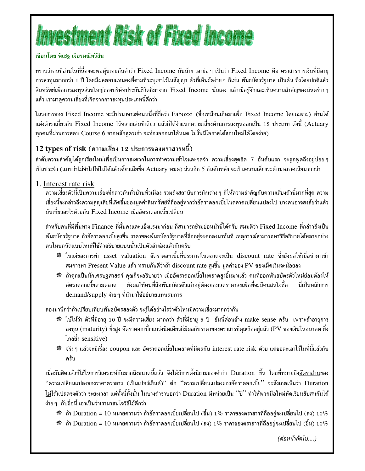## vestment Risk of Fixed Income

#### เขียนโดย พิเชฐ เจียรมณีทวีสิน

ทราบว่าคนที่อ่านในที่นี่คงจะพอคุ้นเคยกับคำว่า Fixed Income กันบ้าง เอาย่อๆ เป็นว่า Fixed Income คือ ตราสารการเงินที่มีอายุ ี การลงทุนมากกว่า 1 ปี โดยมีผลตอบแทนคงที่ตามที่ระบุเอาไว้ในสัญญา ตัวที่เห็นชัดง่ายๆ ก็เช่น พันธบัตรรัฐบาล เป็นต้น ซึ่งโดยปกติแล้ว ้สินทรัพย์เพื่อการลงทุนส่วนใหญ่ของบริษัทประกันชีวิตก็มาจาก Fixed Income นั่นเอง แล้วเมื่อรู้จักและเห็นความสำคัญของมันคร่าวๆ แล้ว เรามาดูความเสี่ยงที่เกิดจากการลงทุนประเภทนี้ดีกว่า

ในวงการของ Fixed Income จะมีปรมาจารย์คนหนึ่งที่ชื่อว่า Fabozzi (ชื่อเหมือนเกิดมาเพื่อ Fixed Income โดยเฉพาะ) ท่านได้ แต่งตำราเกี่ยวกับ Fixed Income ไว้หลายเล่มทีเดียว แล้วก็ได้จำแนกความเสี่ยงด้านการลงทุนออกเป็น 12 ประเภท ดังนี้ (Actuary ทุกคนที่ผ่านการสอบ Course 6 จากหลักสูตรเก่า จะท่องออกมาได้หมด ไม่งั้นมีโอกาสได้สอบใหม่ได้โดยง่าย)

#### 12 types of risk (ความเสี่ยง 12 ประการของตราสารหนี้)

้ลำดับความสำคัญได้ถูกเรียงใหม่เพื่อเป็นการสะดวกในการทำความเข้าใจและจดจำ ความเสี่ยงสุดฮิต 7 อันดับแรก จะถูกพูดถึงอยู่บ่อยๆ เป็นประจำ (แบบว่าไม่จำไปใช้ไม่ได้แล้วเดี๋ยวเสียชื่อ Actuary หมด) ส่วนอีก 5 อันดับหลัง จะเป็นความเสี่ยงระดับมหภาคเสียมากกว่า

1. Interest rate risk

้ ความเสี่ยงตัวนี้เป็นความเสี่ยงที่กล่าวกันทั่วบ้านทั่วเมือง รวมถึงสถาบันการเงินต่าง ๆ ก็ให้ความสำคัญกับความเสี่ยงตัวนี้มากที่สุด ความ เสี่ยงนี้จะกล่าวถึงความสูญเสียที่เกิดขึ้นของมูลค่าสินทรัพย์ที่ถืออยู่หากว่าอัตราดอกเบี้ยในตลาดเปลี่ยนแปลงไป บางคนอาจสงสัยว่าแล้ว มันเกี่ยวอะไรด้วยกับ Fixed Income เมื่ออัตราดอกเบี้ยเปลี่ยน

ี สำหรับคนที่มีพื้นทาง Finance ที่มั่นคงและแข็งแรงมาก่อน ก็สามารถข้ามย่อหน้านี้ได้ครับ สมมติว่า Fixed Income ที่กล่าวถึงเป็น พันธบัตรรัฐบาล ถ้าอัตราดอกเบี้ยสูงขึ้น ราคาของพันธบัตรรัฐบาลที่ถืออยู่จะตกลงมาทันที เหตุการณ์สามารถหาวิธีอธิบายได้หลายอย่าง คนไหนถนัดแบบไหนก็ใช้คำอธิบายแบบนั้นเป็นตัวอ้างอิงแล้วกันครับ

- ※ ในแง่ของการทำ asset valuation อัตราดอกเบี้ยที่ประกาศในตลาดจะเป็น discount rate ซึ่งยังผลให้เมื่อนำมาเข้า ิสมการหา Present Value แล้ว ทราบกันดีว่าถ้า discount rate สูงขึ้น มูลค่าของ PV ของเม็ดเงินจะน้อยลง
- \* ถ้าคุณเป็นนักเศรษฐศาสตร์ คุณก็จะอธิบายว่า เมื่ออัตราดอกเบี้ยในตลาดสูงขึ้นมาแล้ว คนที่ออกพันธบัตรตัวใหม่ย่อมต้องให้ อัตราดอกเบี้ยตามตลาด ้ยังผลให้คนที่ถือพันธบัตรตัวเก่าอยู่ต้องยอมลดราคาลงเพื่อที่จะมีคนสนใจซื้อ นี่เป็นหลักการ demand/supply ง่ายๆ ที่นำมาใช้อธิบายแทนสมการ

ลองมานึกว่าถ้าเปรียบเทียบพันธบัตรสองตัว จะรู้ได้อย่างไรว่าตัวไหนมีความเสี่ยงมากกว่ากัน

- ※ ใบ้ให้ว่า ตัวที่มีอายุ 10 ปี จะมีความเสี่ยง มากกว่า ตัวที่มีอายุ 5 ปี อันนี้ค่อนข้าง make sense ครับ เพราะถ้าอายุการ ีลงทุน (maturity) ยิ่งสูง อัตราดอกเบี้ยแกว่งนิดเดียวก็มีผลกับราคาของตราสารที่คุณถืออยู่แล้ว (PV ของเงินในอนาคต ยิ่ง ไกลยิ่ง sensitive)
- $*$ จริง ๆ แล้วจะมีเรื่อง coupon และ อัตราดอกเบี้ยในตลาดที่มีผลกับ interest rate risk ด้วย แต่ขอละเอาไว้ในที่นี้แล้วกัน ครับ

้เมื่อมันฮิตแล้วก็ใช้ในการวิเคราะห์กันมากถึงขนาดนี้แล้ว จึงได้มีการตั้งนิยามของคำว่า Duration ขึ้น โดยที่หมายถึง<u>อัตราส่วน</u>ของ "ความเปลี่ยนแปลงของราคาตราสาร (เป็นเปอร์เซ็นต์)" ต่อ "ความเปลี่ยนแปลงของอัตราดอกเบี้ย'' จะสังเกตเห็นว่า Duration ้ไม่ได้แปลตรงตัวว่า ระยะเวลา แต่ทั้งนี้ทั้งนั้น ในบางตำราบอกว่า Duration มีหน่วยเป็น 'ปี'' ทำให้พวกมือใหม่หัดเรียนสับสนกันได้ ง่าย ๆ กับชื่อนี้ เอาเป็นว่าเรามาสนใจวิธีใช้ดีกว่า

- $*$  ถ้า Duration = 10 หมายความว่า ถ้าอัตราดอกเบี้ยเปลี่ยนไป (ขึ้น) 1% ราคาของตราสารที่ถืออยู่จะเปลี่ยนไป (ลง) 10%
- $*$  ถ้า Duration = 10 หมายความว่า ถ้าอัตราดอกเบี้ยเปลี่ยนไป (ลง) 1% ราคาของตราสารที่ถืออย่จะเปลี่ยนไป (ขึ้น) 10%

(ต่อหน้าถัดไป....)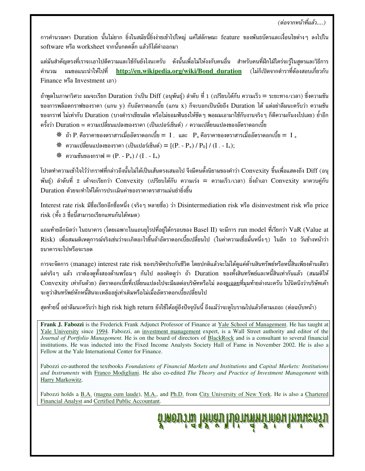#### (ต่อจากหน้าที่แล้ว....)

การคำนวณหา Duration นั้นไม่ยาก ยิ่งในสมัยนี้ยิ่งง่ายเข้าไปใหญ่ แค่ใส่ลักษณะ feature ของพันธบัตรและเงื่อนไขต่างๆ ลงไปใน software หรือ worksheet จากนั้นกดคลิ๊ก แล้วก็ได้ค่าออกมา

แต่มันสำคัญตรงที่เราจะเอาไปตีความและใช้กันยังไงนะครับ ดังนั้นเพื่อไม่ให้งงกับคนอื่น สำหรับคนที่ฝักใฝ่ใคร่จะรู้ในสูตรและวิธีการ http://en.wikipedia.org/wiki/Bond duration (ไม่ก็เปิดจากตำราที่ต้องสอบเกี่ยวกับ ผมขอแนะนำให้ไปที่ คำนวณ Finance หรือ Investment เอา)

้ถ้าพดในภาษาวิศวะ ผมจะเรียก Duration ว่าเป็น Diff (อนพันธ์) ลำดับ ที่ 1 (เปรียบได้กับ ความเร็ว = ระยะทาง/เวลา) ซึ่งความชัน ของการพล็อตกราฟของราคา (แกน y) กับอัตราดอกเบี้ย (แกน x) ก็จะบอกเป็นนัยถึง Duration ได้ แต่อย่าลืมนะครับว่า ความชัน ของกราฟ ไม่เท่ากับ Duration (บางตำราเขียนผิด หรือไม่ยอมฟันธงให้ชัดๆ พอผมเอามาใช้กับงานจริงๆ ก็ตีความกันงงไปเลย) ย้ำอีก ครั้งว่า Duration = ความเปลี่ยนแปลงของราคา (เป็นเปอร์เซ็นต์) / ความเปลี่ยนแปลงของอัตราดอกเบี้ย

- $\rm \frac{36}{36}$  ถ้า P. คือราคาของตราสารเมื่ออัตราดอกเบี้ย =  $\rm\ I$  . และ  $\rm\ P_{+}$  คือราคาของตราสารเมื่ออัตราดอกเบี้ย =  $\rm\ I_{+}$
- $\mathcal{R}$  ความเปลี่ยนแปลงของราคา (เป็นเปอร์เซ็นต์) = [(P − P +) / P<sub>0</sub>] / (I − I +);
- $\frac{1}{2}$  ความชั้นของกราฟ = (P − P + ) / (I − I + )

โปรดทำความเข้าใจไว้ว่ากราฟที่กล่าวถึงนั้นไม่ได้เป็นเส้นตรงเสมอไป จึงมีคนตั้งนิยามของคำว่า Convexity ขึ้นเพื่อแสดงถึง Diff (อน พันธ์) ลำดับที่ 2 เค้าจะเรียกว่า Convexity (เปรียบได้กับ ความเร่ง = ความเร็ว/เวลา) ยิ่งถ้าเอา Convexity มาควบค่กับ Duration ด้วยจะทำให้ได้การประเมินค่าของราคาตราสารแม่นยำยิ่งขึ้น

Interest rate risk มีชื่อเรียกอีกชื่อหนึ่ง (จริงๆ หลายชื่อ) ว่า Disintermediation risk หรือ disinvestment risk หรือ price risk (ทั้ง 3 ชื่อนี้สามารถเรียกแทนกันได้หมด)

แถมท้ายอีกนิดว่า ในธนาคาร (โดยเฉพาะในแถบยุโรปที่อยู่ใต้กรอบของ Basel II) จะมีการ run model ที่เรียกว่า VaR (Value at Risk) เพื่อสมมติเหตุการณ์จริงเช่นว่าจะเกิดอะไรขึ้นถ้าอัตราดอกเบี้ยเปลี่ยนไป (ในค่าความเชื่อมั่นหนึ่งๆ) ในอีก 10 วันข้างหน้าว่า ธนาคารจะไปหรือจะรอด

การจะจัดการ (manage) interest rate risk ของบริษัทประกันชีวิต โดยปกติแล้วจะไม่ได้ดูแค่ด้านสินทรัพย์หรือหนี้สินเพียงด้านเดียว ีแต่จริง ๆ แล้ว เราต้องดูทั้งสองด้านพร้อม ๆ กันไป ลองคิดดูว่า ถ้า Duration ของทั้งสินทรัพย์และหนี้สินเท่ากันแล้ว (สมมติให้ Convexity เท่ากันด้วย) อัตราดอกเบี้ยที่เปลี่ยนแปลงไปจะมีผลต่อบริษัทหรือไม่ ลองดูเฉลยที่มุมท้ายล่างนะครับ ใบ้นิดนึงว่าบริษัทเค้า จะดูว่าสินทรัพย์หักหนี้สินจะเหลืออยู่เท่าเดิมหรือไม่เมื่ออัตราดอกเบี้ยเปลี่ยนไป

สุดท้ายนี้ อย่าลืมนะครับว่า high risk high return ยังใช้ได้อยู่ถึงปัจจุบันนี้ ถึงแม้ว่าจะดูโบราณไปแล้วก็ตามเถอะ (ต่อฉบับหน้า)

Frank J. Fabozzi is the Frederick Frank Adjunct Professor of Finance at Yale School of Management. He has taught at Yale University since 1994. Fabozzi, an investment management expert, is a Wall Street authority and editor of the Journal of Portfolio Management. He is on the board of directors of BlackRock and is a consultant to several financial institutions. He was inducted into the Fixed Income Analysts Society Hall of Fame in November 2002. He is also a Fellow at the Yale International Center for Finance.

Fabozzi co-authored the textbooks Foundations of Financial Markets and Institutions and Capital Markets: Institutions and Instruments with Franco Modigliani. He also co-edited The Theory and Practice of Investment Management with Harry Markowitz.

Fabozzi holds a B.A. (magna cum laude), M.A., and Ph.D. from City University of New York. He is also a Chartered Financial Analyst and Certified Public Accountant.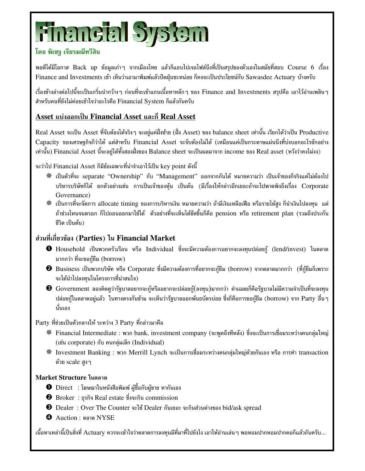# **Financial System**

#### โดย พิเชฐ เจียรมณีทวีสิน

พอดีได้มีโอกาส Back up ข้อมูลเก่าๆ จากเมืองไทย แล้วก็แอบไปเจอไฟล์นึงที่เป็นสรุปของตัวเองในสมัยที่สอบ Course 6 เรื่อง Finance and Investments เข้า เห็นว่าเอามาพิมพ์แล้วปัดฝุ่นซะหน่อย ก็คงจะเป็นประโยชน์กับ Sawasdee Actuary บ้างครับ

เรื่องข้างล่างต่อไปนี้จะเป็นเกริ่นนำกว้าง ๆ ก่อนที่จะเข้าแกนเนื้อหาหลัก ๆ ของ Finance and Investments สรุปคือ เอาไว้อ่านเพลิน ๆ สำหรับคนที่ยังไม่ค่อยเข้าใจว่าอะไรคือ Financial System ก็แล้วกันครับ

#### Asset แบ่งออกเป็น Financial Asset และก็ Real Asset

Real Asset จะเป็น Asset ที่จับต้องได้จริงๆ จะอยู่แค่ฝั่งซ้าย (ฝั่ง Asset) ของ balance sheet เท่านั้น เรียกได้ว่าเป็น Productive Capacity ของเศรษฐกิจก็ว่าได้ แต่สำหรับ Financial Asset จะจับต้องไม่ได้ (เหมือนแค่เป็นกระดาษแผ่นนึงที่บ่งบอกอะไรซักอย่าง เท่านั้น) Financial Asset นี้จะอยู่ได้ทั้งสองฝั่งของ Balance sheet จะเป็นผลมาจาก income ของ Real asset (หวังว่าคงไม่งง)

จะว่าไป Financial Asset ก็มีข้อเฉพาะที่น่าจำเอาไว้เป็น key point ดังนี้

- ※ เป็นตัวที่จะ separate "Ownership" กับ "Management" ออกจากกันได้ หมายความว่า เป็นเจ้าของก็จริงแต่ไม่ต้องไป บริหารบริษัทก็ได้ ยกตัวอย่างเช่น การเป็นเจ้าของหุ้น เป็นต้น (มีเรื่องให้กล่าวอีกเยอะถ้าจะไปพาดพิงถึงเรื่อง Corporate Governance)
- ※ เป็นการที่จะจัดการ allocate timing ของการบริหารเงิน หมายความว่า ถ้ามีเงินเหลือเฟือ หรือรายได้สูง ก็นำเงินไปลงทุน แต่ ถ้าช่วงไหนจนตรอก ก็ไปถอนออกมาใช้ได้ ตัวอย่างที่จะเห็นได้ชัดขึ้นก็คือ pension หรือ retirement plan (รวมถึงประกัน ชีวิต เป็นต้น)

#### ส่วนที่เกี่ยวข้อง (Parties) ใน Financial Market

- $\bullet$  Household เป็นพวกครัวเรือน หรือ Individual ซึ่งจะมีความต้องการอยากจะลงทุนปล่อยกู้ (lend/invest) ในตลาด มากกว่า ที่จะขอก้ยืม (borrow)
- $\bullet$  Business เป็นพวกบริษัท หรือ Corporate ซึ่งมีความต้องการที่อยากจะกู้ยืม (borrow) จากตลาดมากกว่า (ที่กู้ยืมก็เพราะ จะได้นำไปลงทนในโครงการที่น่าสนใจ)
- $\,\bullet\,$  Government ลองคิดดูว่ารัฐบาลอยากจะกู้หรืออยากจะปล่อยกู้(ลงทุน)มากกว่า คำเฉลยก็คือรัฐบาลไม่มีความจำเป็นที่จะลงทุน ปล่อยกู้ในตลาดอยู่แล้ว ในทางตรงกันข้าม จะเห็นว่ารัฐบาลออกพันธบัตรบ่อย ซึ่งก็คือการขอกู้ยืม (borrow) จาก Party อื่นๆ นั่นเอง

Party ที่ช่วยเป็นตัวกลางให้ ระหว่าง 3 Party ที่กล่าวมาคือ

- ※ Financial Intermediate : พวก bank, investment company (จะพูดถึงทีหลัง) ซึ่งจะเป็นการเชื่อมระหว่างคนกลุ่มใหญ่ (เช่น corporate) กับ คนกลุ่มเล็ก (Individual)
- ※ Investment Banking : พวก Merrill Lynch จะเป็นการเชื่อมระหว่างคนกลุ่มใหญ่ด้วยกันเอง หรือ การทำ transaction ด้วย scale สูง ๆ

#### Market Structure ในตลาด

- $\bullet$  Direct : โฆษณาในหนังสือพิมพ์ ผู้ซื้อกับผู้ขาย หากันเอง
- Broker: ธุรกิจ Real estate ซึ่งจะกิน commission
- B Dealer: Over The Counter จะใช้ Dealer กันเยอะ จะกินส่วนต่างของ bid/ask spread
- 4 Auction: ตลาด NYSE

้เนื้อหาเหล่านี้เป็นสิ่งที่ Actuary ควรจะเข้าใจว่าตลาดการลงทุนมีที่มาที่ไปยังไง เอาให้อ่านเล่น ๆ พอหอมปากหอมปากคอก็แล้วกันครับ…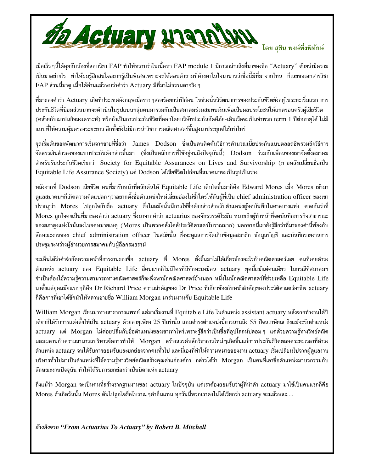

เมื่อเร็ว ๆนี้ได้คุยกับน้องที่สอบวิชา FAP ทำให้ทราบว่าในเนื้อหา FAP module 1 มีการกล่าวถึงที่มาของชื่อ "Actuary" ด้วยว่ามีความ ้เป็นมาอย่างไร ทำให้ผมรู้สึกสนใจอยากรู้เป็นพิเศษเพราะจะได้ตอบคำถามที่ค้างคาในใจมานานว่าชื่อนี้มีที่มาจากไหน ก็เลยขอเอกสารวิชา FAP ส่วนนี้มาดู เมื่อได้อ่านแล้วพบว่าคำว่า Actuary มีที่มาไม่ธรรมดาจริง ๆ

ที่มาของคำว่า Actuary เกิดที่ประเทศอังกฤษเมื่อราวๆสองร้อยกว่าปีก่อน ในช่วงนั้นวิวัฒนาการของประกันชีวิตยังอยู่ในระยะเริ่มแรก การ ประกันชีวิตที่นิยมส่วนมากจะดำเนินในรูปแบบกลุ่มคนมารวมกันเป็นสมาคมร่วมสมทบเงินเพื่อเป็นผลประโยชน์ให้แก่ครอบครัวผู้เสียชีวิต (คล้ายกับฌาปนกิจสงเคราะห์) หรือถ้าเป็นการประกันชีวิตที่ออกโดยบริษัทประกันอัคคีภัย-เดินเรือจะเป็นจำพวก term 1 ปีต่ออายุได้ ไม่มี แบบที่ให้ความคุ้มครองระยะยาว อีกทั้งยังไม่มีการนำวิชาการคณิตศาสตร์ขั้นสูงมาประยุกต์ใช้เท่าไหร่

จุดเริ่มต้นของพัฒนาการเริ่มจากชายที่ชื่อว่า James Dodson ซึ่งเป็นคนคิดค้นวิธีการคำนวณเบี้ยประกันแบบตลอดชีพรวมถึงวิธีการ ี จัดสรรเงินสำรองของแบบประกันดังกล่าวขึ้นมา (ซึ่งเป็นหลักการที่ใช้อยู่จนถึงปัจจุบันนี้) Dodson ร่วมกับเพื่อนของเขาจัดตั้งสมาคม สำหรับรับประกันชีวิตเรียกว่า Society for Equitable Assurances on Lives and Survivorship (ภายหลังเปลี่ยนชื่อเป็น Equitable Life Assurance Society) แต่ Dodson ได้เสียชีวิตไปก่อนที่สมาคมฯจะเป็นรูปเป็นร่าง

หลังจากที่ Dodson เสียชีวิต คนที่มารับหน้าที่ผลักดันให้ Equitable Life เติบโตขึ้นมาก็คือ Edward Mores เมื่อ Mores เข้ามา ดูแลสมาคมฯก็เกิดความคิดแปลก ๆว่าอยากตั้งชื่อตำแหน่งใหม่เอี่ยมอ่องไม่ซ้ำใครให้กับผู้ที่เป็น chief administration officer ของเขา ี่ ปรากฏว่า Mores ไปถูกใจกับชื่อ actuary ซึ่งในสมัยนั้นมีการใช้ชื่อดังกล่าวสำหรับตำแหน่งผู้จดบันทึกในศาลบางแห่ง คาดกันว่าที่ Mores ถูกใจคงเป็นที่มาของคำว่า actuary ซึ่งมาจากคำว่า actuarius ของจักรวรรดิโรมัน หมายถึงผู้ทำหน้าที่จดบันทึกภารกิจสาธารณะ ของสภาสูงแห่งโรมันลงในจดหมายเหตุ (Mores เป็นพวกคลั่งไคล้ประวัติศาสตร์โบราณมาก) นอกจากนี้เขายังรู้สึกว่าที่มาของคำนี้พ้องกับ ลักษณะงานของ chief administration officer ในสมัยนั้น ซึ่งจะดูแลการจัดเก็บข้อมูลสมาชิก ข้อมูลบัญชี และบันทึกรายงานการ ประชุมระหว่างผู้อำนวยการสมาคมกับผู้ถือกรมธรรม์

จะเห็นได้ว่าคำจำกัดความหน้าที่การงานของชื่อ actuary ที่ Mores ตั้งขึ้นมาไม่ได้เกี่ยวข้องอะไรกับคณิตศาสตร์เลย คนที่เคยดำรง ตำแหน่ง actuary ของ Equitable Life สี่คนแรกก็ไม่มีใครที่มีทักษะเหมือน actuary ยคนี้แม้แต่คนเดียว ในกรณีที่สมาคมฯ จำเป็นต้องใช้ความรู้ความสามารถทางคณิตศาสตร์ก็จะพึ่งพานักคณิตศาสตร์ข้างนอก หนึ่งในนักคณิตศาสตร์ที่ช่วยเหลือ Equitable Life มาตั้งแต่ยุคสมัยแรก ๆก็คือ Dr Richard Price ความสำคัญของ Dr Price ที่เกี่ยวข้องกับหน้าสำคัญของประวัติศาสตร์อาชีพ actuary ก็คือการที่เขาได้ชักนำให้หลานชายชื่อ William Morgan มาร่วมงานกับ Equitable Life

William Morgan เรียนมาทางสาขาการแพทย์ แต่มาเริ่มงานที่ Equitable Life ในตำแหน่ง assistant actuary หลังจากทำงานได้ปี เดียวก็ได้รับการแต่งตั้งให้เป็น actuary ด้วยอายุเพียง 25 ปีเท่านั้น แถมดำรงตำแหน่งนี้ยาวนานถึง 55 ปีจนเกษียณ ถึงแม้จะรับตำแหน่ง actuary แต่ Morgan ไม่ค่อยปลื้มกับชื่อตำแหน่งของเขาเท่าไหร่เพราะรู้สึกว่าเป็นชื่อที่อุปโลกน์ปลอมๆ แต่ด้วยความรู้ทางวิทย์คณิต ผสมผสานกับความสามารถบริหารจัดการทำให้ Morgan สร้างสรรค์หลักวิชาการใหม่ๆเกิดขึ้นแก่การประกันชีวิตตลอดระยะเวลาที่ดำรง ตำแหน่ง actuary จนได้รับการยอมรับและยกย่องจากคนทั่วไป และนี่เองที่ทำให้ความหมายของงาน actuary เริ่มเปลี่ยนไปจากผู้ดูแลงาน ึบริหารทั่วไปมาเป็นตำแหน่งที่ใช้ความรู้ทางวิทย์คณิตสร้างคุณค่าแก่องค์กร กล่าวได้ว่า Morgan เป็นคนที่เอาชื่อตำแหน่งมาบวกรวมกับ ลักษณะงานปัจจุบัน ทำให้ได้รับการยกย่องว่าเป็นบิดาแห่ง actuary

ถึงแม้ว่า Morgan จะเป็นคนที่สร้างรากฐานงานของ actuary ในปัจจุบัน แต่เราต้องยอมรับว่าผู้ที่นำคำ actuary มาใช้เป็นคนแรกก็คือ Mores ถ้าเกิดวันนั้น Mores ดันไปถูกใจชื่อโบราณๆคำอื่นแทน ทุกวันนี้พวกเราคงไม่ได้เรียกว่า actuary ซะแล้วหละ....

อ้างอิงจาก "From Actuarius To Actuary" by Robert B. Mitchell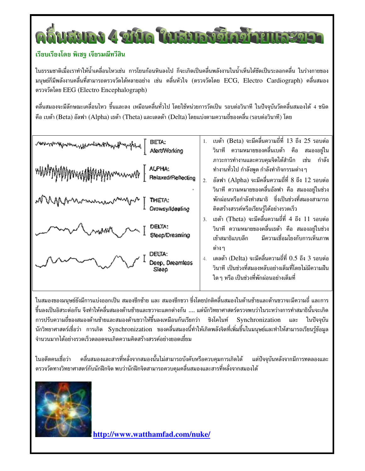## Udulat 4 orto Trish

#### เรียบเรียงโดย พิเชร เจียรมณีทวีสิน

ในธรรมชาติเมื่อเราทำให้น้ำเคลื่อนไหวเช่น การโยนก้อนหินลงไป ก็จะเกิดเป็นคลื่นพลังงานในน้ำเห็นได้ชัดเป็นระลอกคลื่น ในร่างกายของ มนุษย์ก็มีพลังงานคลื่นที่สามารถตรวจวัดได้หลายอย่าง เช่น คลื่นหัวใจ (ตรวจวัดโดย ECG, Electro Cardiograph) คลื่นสมอง ตรวจวัดโดย EEG (Electro Encephalograph)

้คลื่นสมองจะมีลักษณะเคลื่อนไหว ขึ้นและลง เหมือนคลื่นทั่วไป โดยใช้หน่วยการวัดเป็น รอบต่อวินาที ในปัจจุบันวัดคลื่นสมองได้ 4 ชนิด คือ เบต้า (Beta) อัลฟา (Alpha) เธต้า (Theta) และเดลต้า (Delta) โดยแบ่งตามความถี่ของคลื่น (รอบต่อวินาที) โดย



ในสมองของมนุษย์ยังมีการแบ่งออกเป็น สมองซีกซ้าย และ สมองซีกขวา ซึ่งโดยปกติคลื่นสมองในด้านซ้ายและด้านขวาจะมีความถี่ และการ ขึ้นลงเป็นอิสระต่อกัน จึงทำให้คลื่นสมองด้านซ้ายและขวาจะแตกต่างกัน …. แต่นักวิทยาศาสตร์ตรวจพบว่าในระหว่างการทำสมาธินั้นจะเกิด การปรับความถี่ของสมองด้านซ้ายและสมองด้านขวาให้ขึ้นลงเหมือนกันเรียกว่า ซิงโคไนท์ Synchronization ในปัจจบัน และ นักวิทยาศาสตร์เชื่อว่า การเกิด Synchronization ของคลื่นสมองนี้ทำให้เกิดพลังจิตที่เพิ่มขึ้นในมนุษย์และทำให้สามารถเรียนรู้ข้อมูล จำนวนมากได้อย่างรวดเร็วตลอดจนเกิดความคิดสร้างสรรค์อย่างยอดเยี่ยม

ในอดีตคนเชื่อว่า คลื่นสมองและสารที่หลั่งจากสมองนั้นไม่สามารถบังคับหรือควบคมการเกิดได้ แต่ปัจจุบันหลังจากมีการทดลองและ ตรวจวัดทางวิทยาศาสตร์กับนักฝึกจิต พบว่านักฝึกจิตสามารถควบคุมคลื่นสมองและสารที่หลั่งจากสมองได้



http://www.watthamfad.com/nuke/